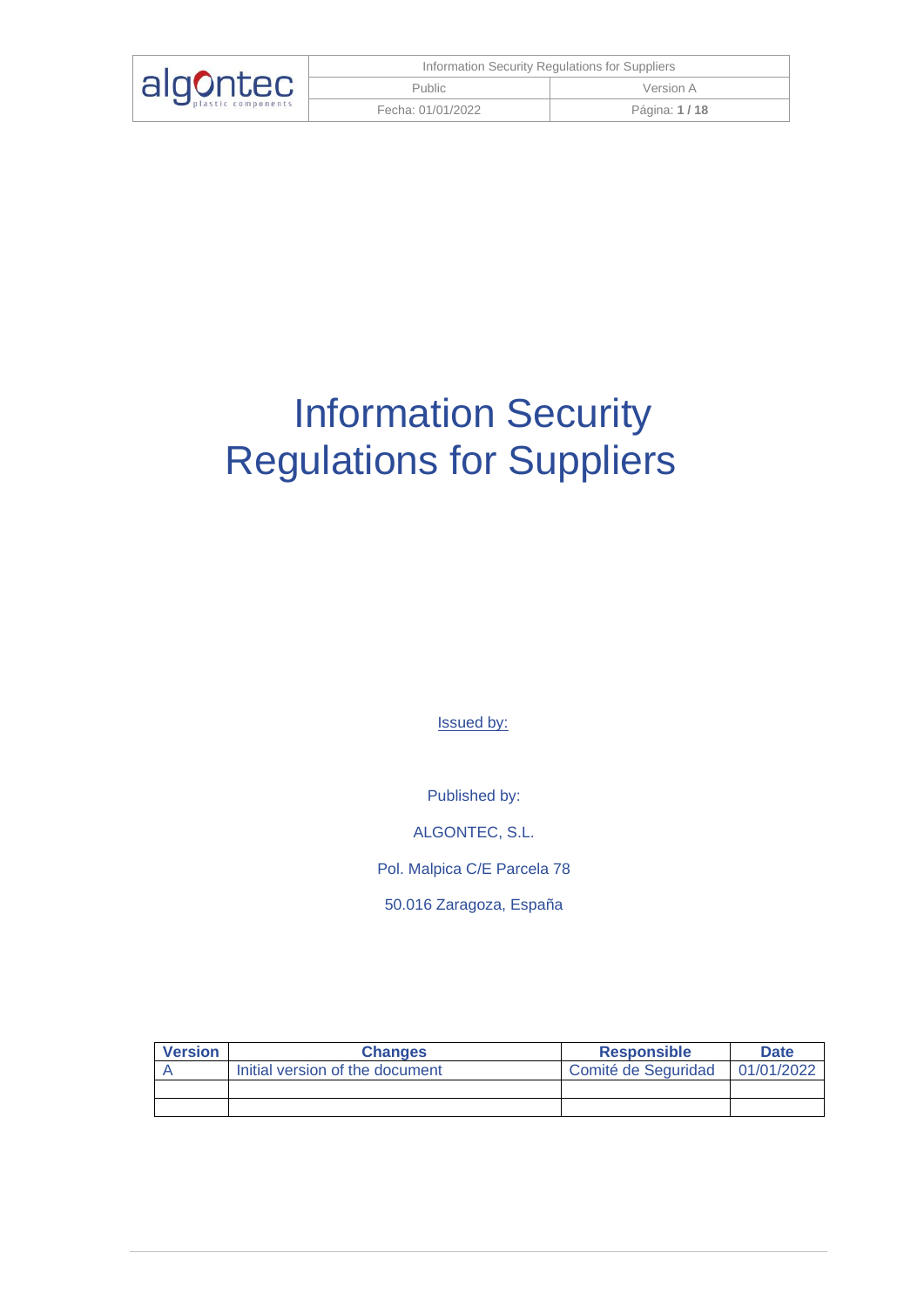| algontec | Information Security Regulations for Suppliers |              |
|----------|------------------------------------------------|--------------|
|          | <b>Public</b>                                  | Version A    |
|          | Fecha: 01/01/2022                              | Página: 1/18 |

# Information Security Regulations for Suppliers

Issued by:

Published by:

ALGONTEC, S.L.

Pol. Malpica C/E Parcela 78

50.016 Zaragoza, España

| <b>Version</b> | <b>Changes</b>                  | <b>Responsible</b>  | <b>Date</b> |
|----------------|---------------------------------|---------------------|-------------|
|                | Initial version of the document | Comité de Seguridad | 01/01/2022  |
|                |                                 |                     |             |
|                |                                 |                     |             |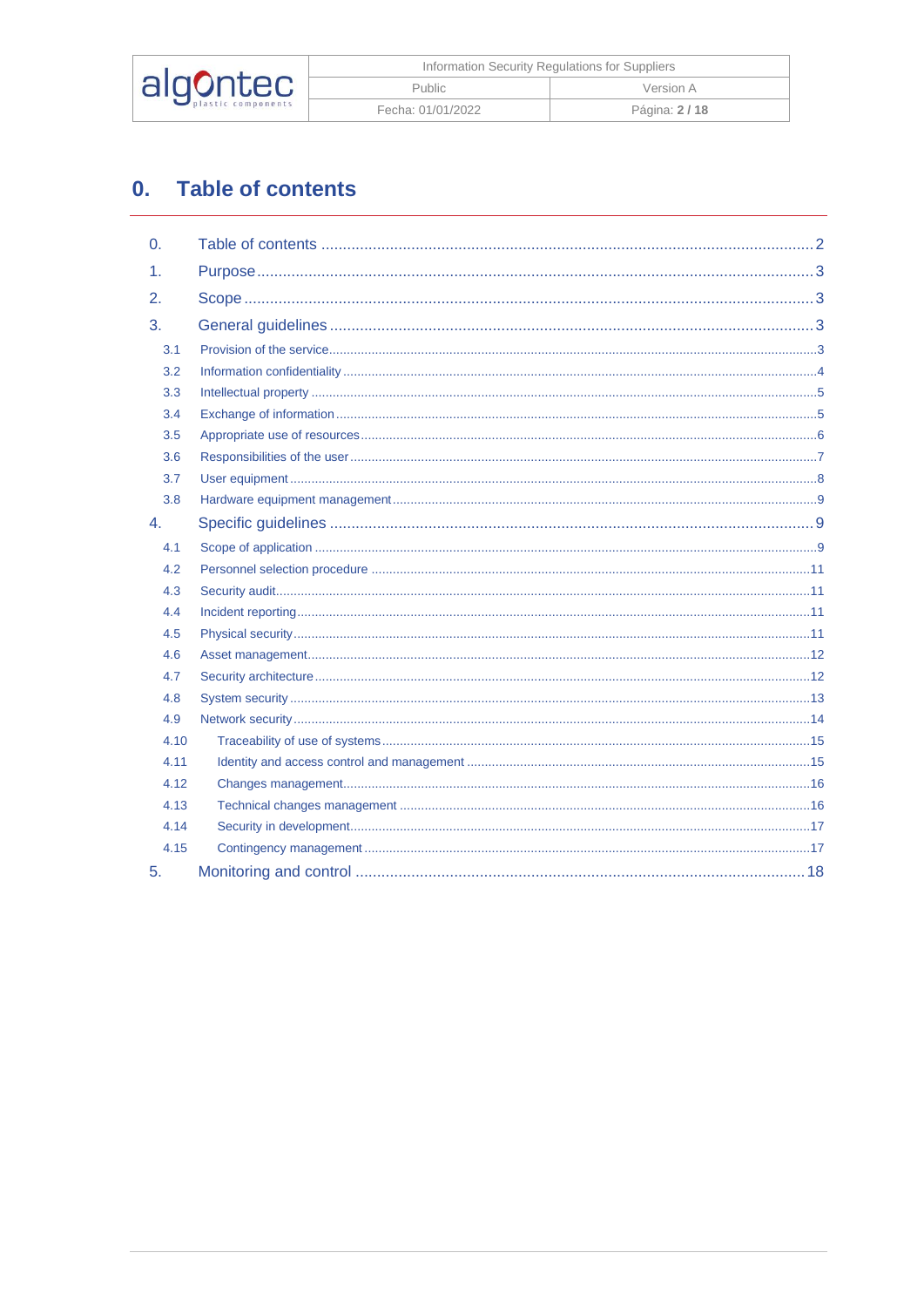|          | Information Security Regulations for Suppliers |              |
|----------|------------------------------------------------|--------------|
| algontec | Public                                         | Version A    |
|          | Fecha: 01/01/2022                              | Página: 2/18 |

# <span id="page-1-0"></span>0. Table of contents

| $\Omega$ . |  |
|------------|--|
| 1.         |  |
| 2.         |  |
| 3.         |  |
| 3.1        |  |
| 3.2        |  |
| 3.3        |  |
| 3.4        |  |
| 3.5        |  |
| 3.6        |  |
| 3.7        |  |
| 3.8        |  |
| 4.         |  |
| 4.1        |  |
| 4.2        |  |
| 4.3        |  |
| 4.4        |  |
| 4.5        |  |
| 4.6        |  |
| 4.7        |  |
| 4.8        |  |
| 4.9        |  |
| 4.10       |  |
| 4.11       |  |
| 4.12       |  |
| 4.13       |  |
| 4.14       |  |
| 4.15       |  |
| 5.         |  |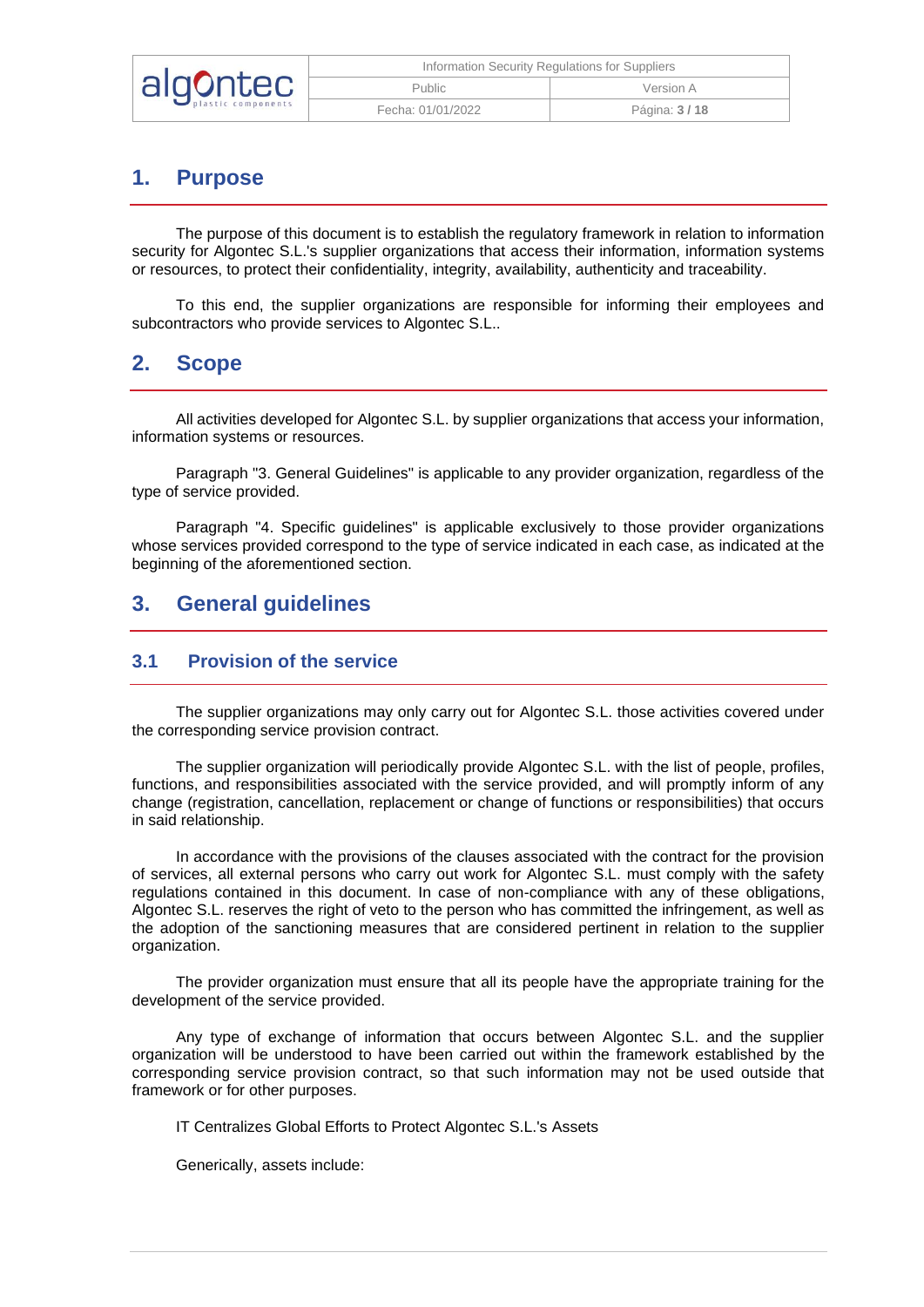|          | Information Security Regulations for Suppliers |                |
|----------|------------------------------------------------|----------------|
| algontec | <b>Public</b>                                  | Version A      |
|          | Fecha: 01/01/2022                              | Página: 3 / 18 |

## <span id="page-2-0"></span>**1. Purpose**

The purpose of this document is to establish the regulatory framework in relation to information security for Algontec S.L.'s supplier organizations that access their information, information systems or resources, to protect their confidentiality, integrity, availability, authenticity and traceability.

To this end, the supplier organizations are responsible for informing their employees and subcontractors who provide services to Algontec S.L..

## <span id="page-2-1"></span>**2. Scope**

All activities developed for Algontec S.L. by supplier organizations that access your information, information systems or resources.

Paragraph "3. General Guidelines" is applicable to any provider organization, regardless of the type of service provided.

Paragraph "4. Specific guidelines" is applicable exclusively to those provider organizations whose services provided correspond to the type of service indicated in each case, as indicated at the beginning of the aforementioned section.

## <span id="page-2-2"></span>**3. General guidelines**

#### <span id="page-2-3"></span>**3.1 Provision of the service**

The supplier organizations may only carry out for Algontec S.L. those activities covered under the corresponding service provision contract.

The supplier organization will periodically provide Algontec S.L. with the list of people, profiles, functions, and responsibilities associated with the service provided, and will promptly inform of any change (registration, cancellation, replacement or change of functions or responsibilities) that occurs in said relationship.

In accordance with the provisions of the clauses associated with the contract for the provision of services, all external persons who carry out work for Algontec S.L. must comply with the safety regulations contained in this document. In case of non-compliance with any of these obligations, Algontec S.L. reserves the right of veto to the person who has committed the infringement, as well as the adoption of the sanctioning measures that are considered pertinent in relation to the supplier organization.

The provider organization must ensure that all its people have the appropriate training for the development of the service provided.

Any type of exchange of information that occurs between Algontec S.L. and the supplier organization will be understood to have been carried out within the framework established by the corresponding service provision contract, so that such information may not be used outside that framework or for other purposes.

IT Centralizes Global Efforts to Protect Algontec S.L.'s Assets

Generically, assets include: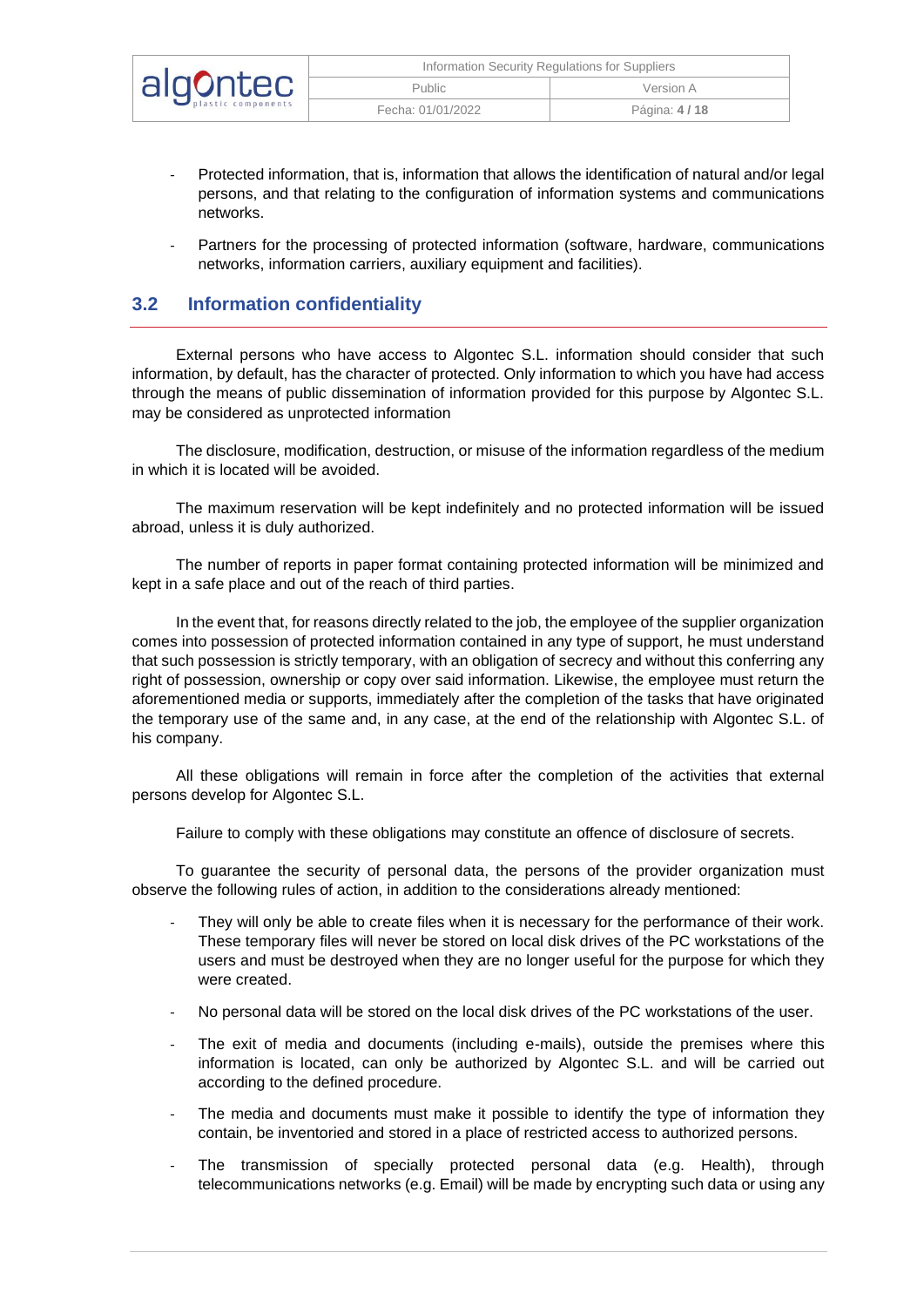| algontec | Information Security Regulations for Suppliers |              |
|----------|------------------------------------------------|--------------|
|          | <b>Public</b>                                  | Version A    |
|          | Fecha: 01/01/2022                              | Página: 4/18 |

- Protected information, that is, information that allows the identification of natural and/or legal persons, and that relating to the configuration of information systems and communications networks.
- Partners for the processing of protected information (software, hardware, communications networks, information carriers, auxiliary equipment and facilities).

#### <span id="page-3-0"></span>**3.2 Information confidentiality**

External persons who have access to Algontec S.L. information should consider that such information, by default, has the character of protected. Only information to which you have had access through the means of public dissemination of information provided for this purpose by Algontec S.L. may be considered as unprotected information

The disclosure, modification, destruction, or misuse of the information regardless of the medium in which it is located will be avoided.

The maximum reservation will be kept indefinitely and no protected information will be issued abroad, unless it is duly authorized.

The number of reports in paper format containing protected information will be minimized and kept in a safe place and out of the reach of third parties.

In the event that, for reasons directly related to the job, the employee of the supplier organization comes into possession of protected information contained in any type of support, he must understand that such possession is strictly temporary, with an obligation of secrecy and without this conferring any right of possession, ownership or copy over said information. Likewise, the employee must return the aforementioned media or supports, immediately after the completion of the tasks that have originated the temporary use of the same and, in any case, at the end of the relationship with Algontec S.L. of his company.

All these obligations will remain in force after the completion of the activities that external persons develop for Algontec S.L.

Failure to comply with these obligations may constitute an offence of disclosure of secrets.

To guarantee the security of personal data, the persons of the provider organization must observe the following rules of action, in addition to the considerations already mentioned:

- They will only be able to create files when it is necessary for the performance of their work. These temporary files will never be stored on local disk drives of the PC workstations of the users and must be destroyed when they are no longer useful for the purpose for which they were created.
- No personal data will be stored on the local disk drives of the PC workstations of the user.
- The exit of media and documents (including e-mails), outside the premises where this information is located, can only be authorized by Algontec S.L. and will be carried out according to the defined procedure.
- The media and documents must make it possible to identify the type of information they contain, be inventoried and stored in a place of restricted access to authorized persons.
- The transmission of specially protected personal data (e.g. Health), through telecommunications networks (e.g. Email) will be made by encrypting such data or using any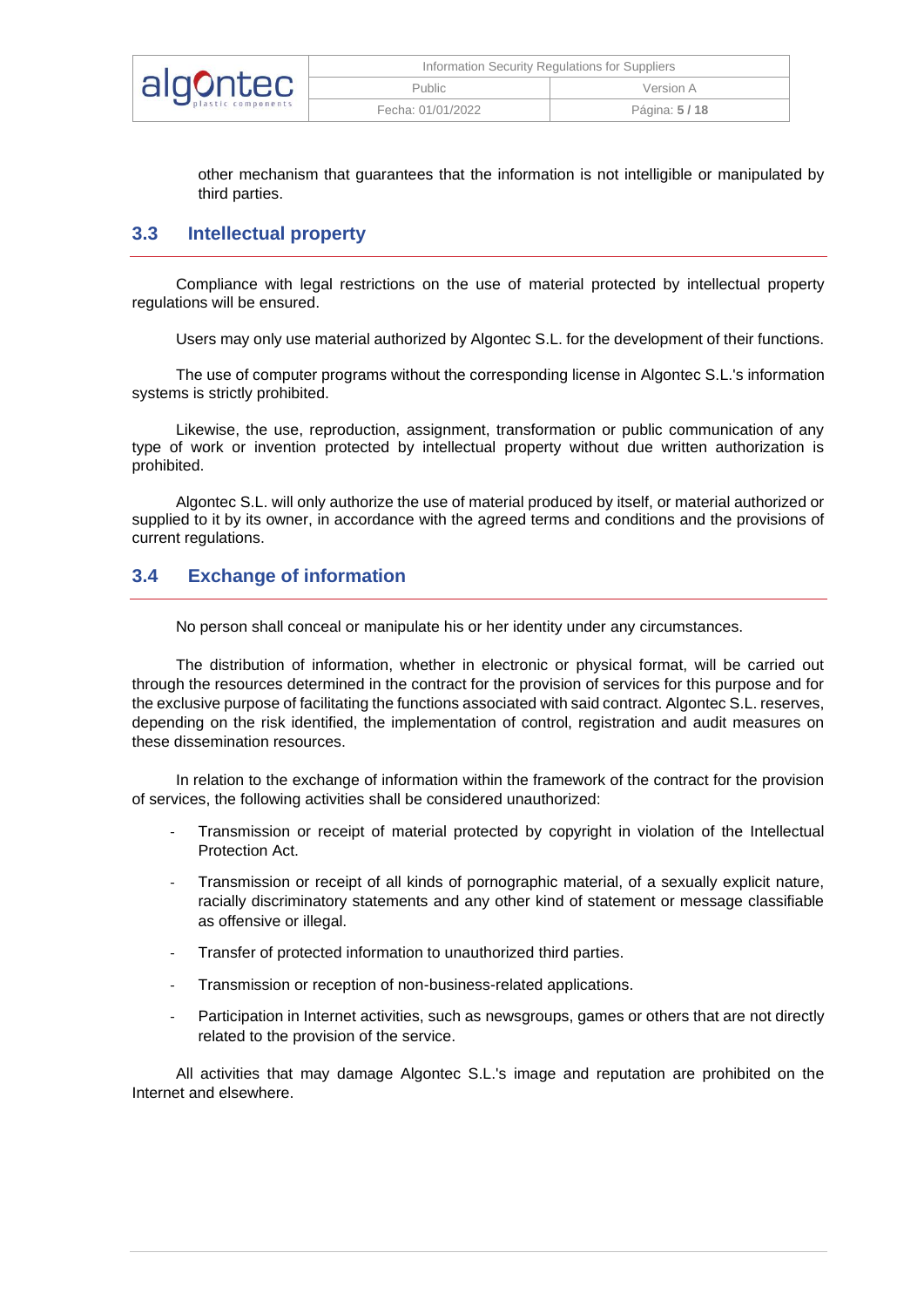|          | Information Security Regulations for Suppliers |              |
|----------|------------------------------------------------|--------------|
| algontec | <b>Public</b>                                  | Version A    |
|          | Fecha: 01/01/2022                              | Página: 5/18 |

other mechanism that guarantees that the information is not intelligible or manipulated by third parties.

#### <span id="page-4-0"></span>**3.3 Intellectual property**

Compliance with legal restrictions on the use of material protected by intellectual property regulations will be ensured.

Users may only use material authorized by Algontec S.L. for the development of their functions.

The use of computer programs without the corresponding license in Algontec S.L.'s information systems is strictly prohibited.

Likewise, the use, reproduction, assignment, transformation or public communication of any type of work or invention protected by intellectual property without due written authorization is prohibited.

Algontec S.L. will only authorize the use of material produced by itself, or material authorized or supplied to it by its owner, in accordance with the agreed terms and conditions and the provisions of current regulations.

#### <span id="page-4-1"></span>**3.4 Exchange of information**

No person shall conceal or manipulate his or her identity under any circumstances.

The distribution of information, whether in electronic or physical format, will be carried out through the resources determined in the contract for the provision of services for this purpose and for the exclusive purpose of facilitating the functions associated with said contract. Algontec S.L. reserves, depending on the risk identified, the implementation of control, registration and audit measures on these dissemination resources.

In relation to the exchange of information within the framework of the contract for the provision of services, the following activities shall be considered unauthorized:

- Transmission or receipt of material protected by copyright in violation of the Intellectual Protection Act.
- Transmission or receipt of all kinds of pornographic material, of a sexually explicit nature, racially discriminatory statements and any other kind of statement or message classifiable as offensive or illegal.
- Transfer of protected information to unauthorized third parties.
- Transmission or reception of non-business-related applications.
- Participation in Internet activities, such as newsgroups, games or others that are not directly related to the provision of the service.

All activities that may damage Algontec S.L.'s image and reputation are prohibited on the Internet and elsewhere.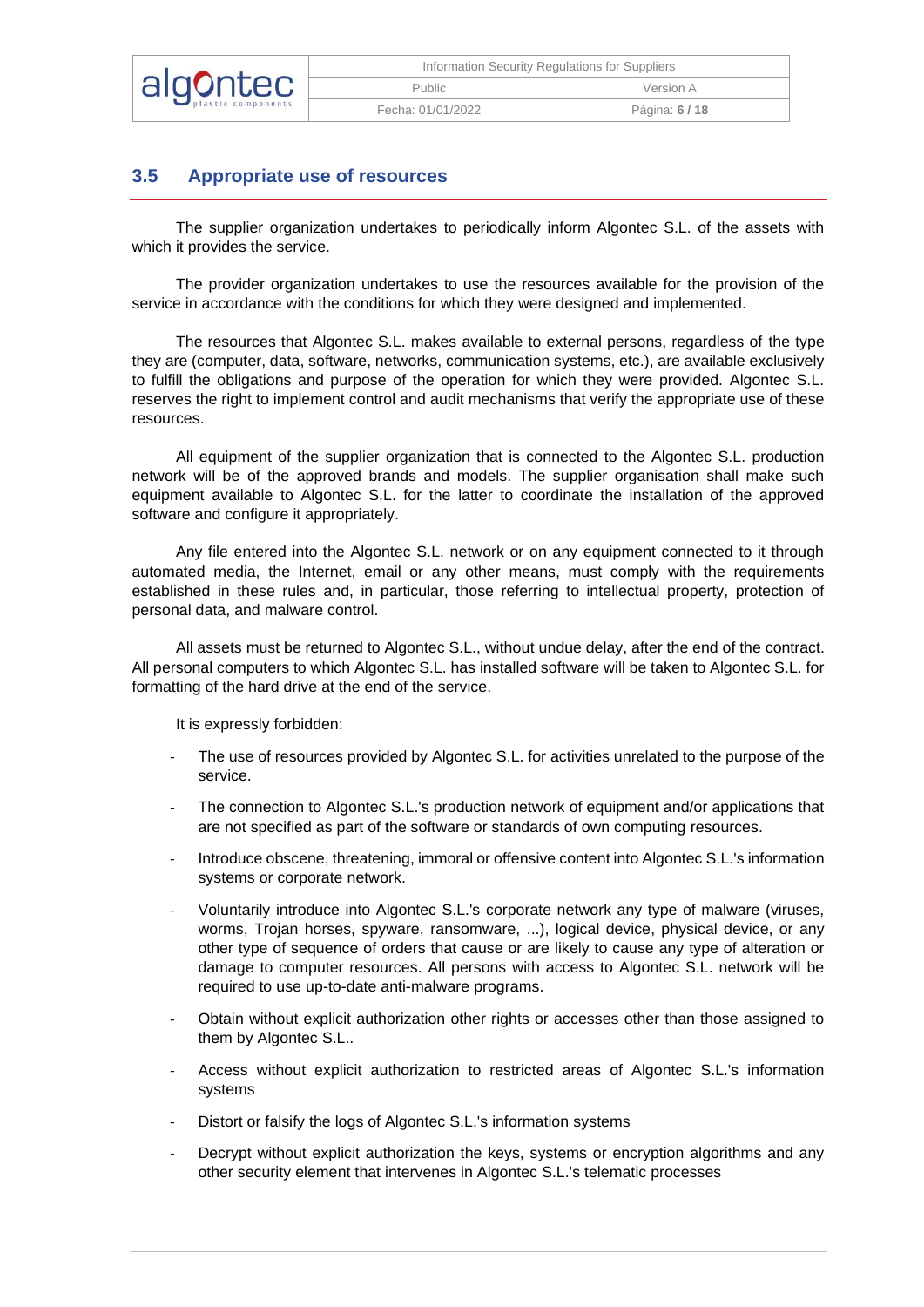|          | Information Security Regulations for Suppliers |              |
|----------|------------------------------------------------|--------------|
| algontec | Public                                         | Version A    |
|          | Fecha: 01/01/2022                              | Página: 6/18 |

## <span id="page-5-0"></span>**3.5 Appropriate use of resources**

The supplier organization undertakes to periodically inform Algontec S.L. of the assets with which it provides the service.

The provider organization undertakes to use the resources available for the provision of the service in accordance with the conditions for which they were designed and implemented.

The resources that Algontec S.L. makes available to external persons, regardless of the type they are (computer, data, software, networks, communication systems, etc.), are available exclusively to fulfill the obligations and purpose of the operation for which they were provided. Algontec S.L. reserves the right to implement control and audit mechanisms that verify the appropriate use of these resources.

All equipment of the supplier organization that is connected to the Algontec S.L. production network will be of the approved brands and models. The supplier organisation shall make such equipment available to Algontec S.L. for the latter to coordinate the installation of the approved software and configure it appropriately.

Any file entered into the Algontec S.L. network or on any equipment connected to it through automated media, the Internet, email or any other means, must comply with the requirements established in these rules and, in particular, those referring to intellectual property, protection of personal data, and malware control.

All assets must be returned to Algontec S.L., without undue delay, after the end of the contract. All personal computers to which Algontec S.L. has installed software will be taken to Algontec S.L. for formatting of the hard drive at the end of the service.

It is expressly forbidden:

- The use of resources provided by Algontec S.L. for activities unrelated to the purpose of the service.
- The connection to Algontec S.L.'s production network of equipment and/or applications that are not specified as part of the software or standards of own computing resources.
- Introduce obscene, threatening, immoral or offensive content into Algontec S.L.'s information systems or corporate network.
- Voluntarily introduce into Algontec S.L.'s corporate network any type of malware (viruses, worms, Trojan horses, spyware, ransomware, ...), logical device, physical device, or any other type of sequence of orders that cause or are likely to cause any type of alteration or damage to computer resources. All persons with access to Algontec S.L. network will be required to use up-to-date anti-malware programs.
- Obtain without explicit authorization other rights or accesses other than those assigned to them by Algontec S.L..
- Access without explicit authorization to restricted areas of Algontec S.L.'s information systems
- Distort or falsify the logs of Algontec S.L.'s information systems
- Decrypt without explicit authorization the keys, systems or encryption algorithms and any other security element that intervenes in Algontec S.L.'s telematic processes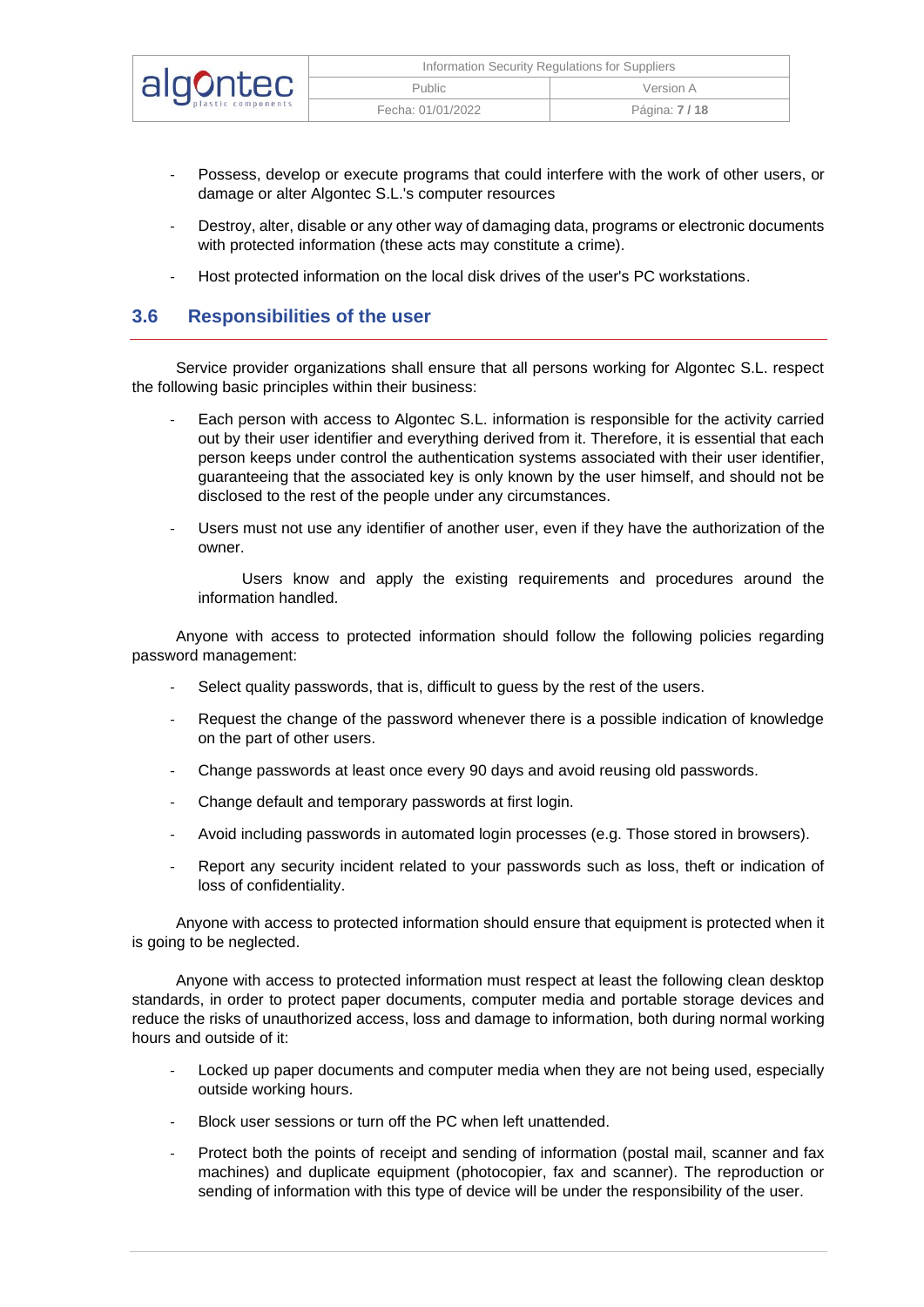|          | Information Security Regulations for Suppliers |                     |
|----------|------------------------------------------------|---------------------|
| algontec | Public                                         | Version A           |
|          | Fecha: 01/01/2022                              | Página: <b>7/18</b> |

- Possess, develop or execute programs that could interfere with the work of other users, or damage or alter Algontec S.L.'s computer resources
- Destroy, alter, disable or any other way of damaging data, programs or electronic documents with protected information (these acts may constitute a crime).
- Host protected information on the local disk drives of the user's PC workstations.

#### <span id="page-6-0"></span>**3.6 Responsibilities of the user**

Service provider organizations shall ensure that all persons working for Algontec S.L. respect the following basic principles within their business:

- Each person with access to Algontec S.L. information is responsible for the activity carried out by their user identifier and everything derived from it. Therefore, it is essential that each person keeps under control the authentication systems associated with their user identifier, guaranteeing that the associated key is only known by the user himself, and should not be disclosed to the rest of the people under any circumstances.
- Users must not use any identifier of another user, even if they have the authorization of the owner.

Users know and apply the existing requirements and procedures around the information handled.

Anyone with access to protected information should follow the following policies regarding password management:

- Select quality passwords, that is, difficult to guess by the rest of the users.
- Request the change of the password whenever there is a possible indication of knowledge on the part of other users.
- Change passwords at least once every 90 days and avoid reusing old passwords.
- Change default and temporary passwords at first login.
- Avoid including passwords in automated login processes (e.g. Those stored in browsers).
- Report any security incident related to your passwords such as loss, theft or indication of loss of confidentiality.

Anyone with access to protected information should ensure that equipment is protected when it is going to be neglected.

Anyone with access to protected information must respect at least the following clean desktop standards, in order to protect paper documents, computer media and portable storage devices and reduce the risks of unauthorized access, loss and damage to information, both during normal working hours and outside of it:

- Locked up paper documents and computer media when they are not being used, especially outside working hours.
- Block user sessions or turn off the PC when left unattended.
- Protect both the points of receipt and sending of information (postal mail, scanner and fax machines) and duplicate equipment (photocopier, fax and scanner). The reproduction or sending of information with this type of device will be under the responsibility of the user.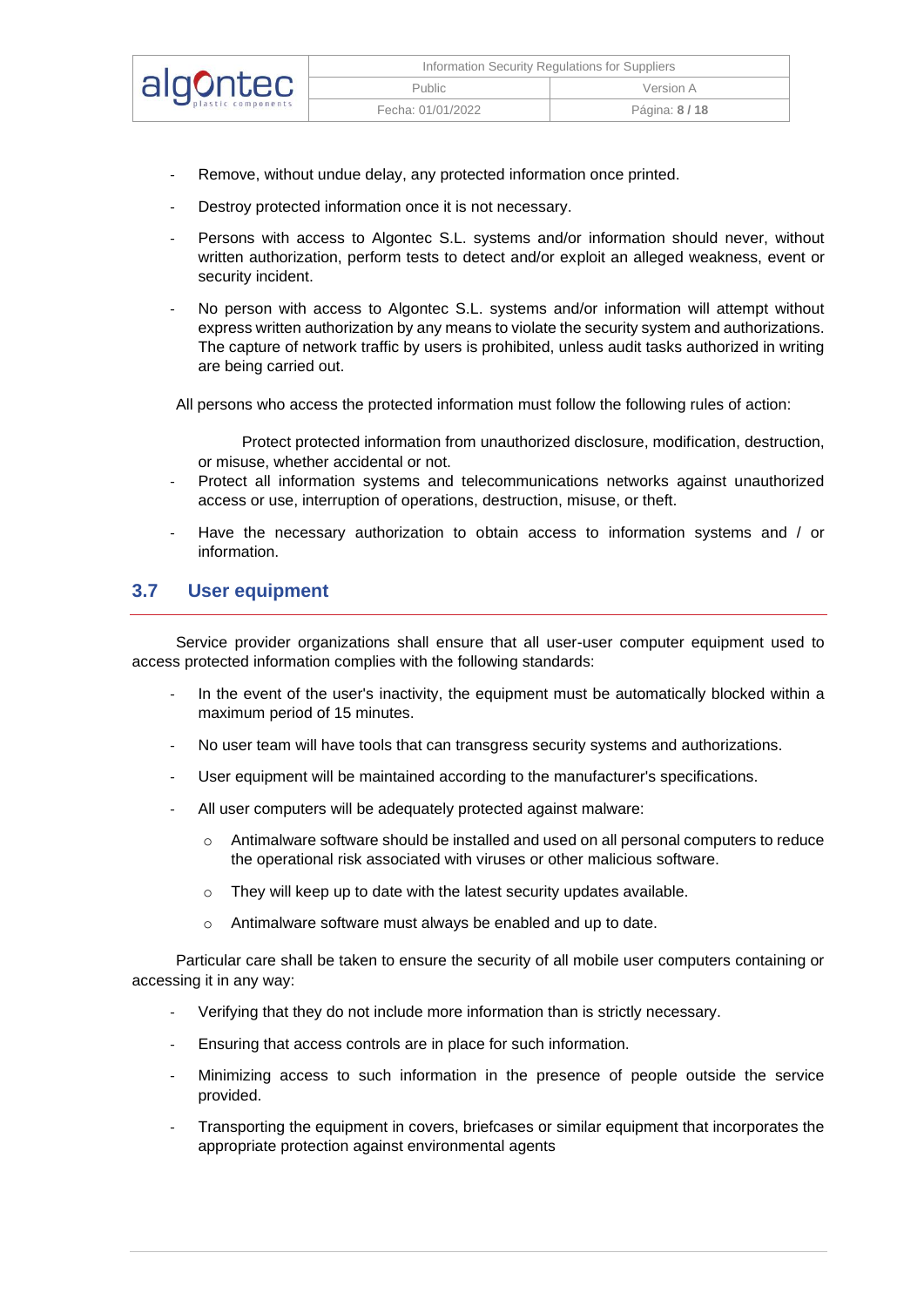| algontec | Information Security Regulations for Suppliers |                |
|----------|------------------------------------------------|----------------|
|          | <b>Public</b>                                  | Version A      |
|          | Fecha: 01/01/2022                              | Página: 8 / 18 |

- Remove, without undue delay, any protected information once printed.
- Destroy protected information once it is not necessary.
- Persons with access to Algontec S.L. systems and/or information should never, without written authorization, perform tests to detect and/or exploit an alleged weakness, event or security incident.
- No person with access to Algontec S.L. systems and/or information will attempt without express written authorization by any means to violate the security system and authorizations. The capture of network traffic by users is prohibited, unless audit tasks authorized in writing are being carried out.

All persons who access the protected information must follow the following rules of action:

- Protect protected information from unauthorized disclosure, modification, destruction, or misuse, whether accidental or not.
- Protect all information systems and telecommunications networks against unauthorized access or use, interruption of operations, destruction, misuse, or theft.
- Have the necessary authorization to obtain access to information systems and / or information.

#### <span id="page-7-0"></span>**3.7 User equipment**

Service provider organizations shall ensure that all user-user computer equipment used to access protected information complies with the following standards:

- In the event of the user's inactivity, the equipment must be automatically blocked within a maximum period of 15 minutes.
- No user team will have tools that can transgress security systems and authorizations.
- User equipment will be maintained according to the manufacturer's specifications.
- All user computers will be adequately protected against malware:
	- o Antimalware software should be installed and used on all personal computers to reduce the operational risk associated with viruses or other malicious software.
	- o They will keep up to date with the latest security updates available.
	- o Antimalware software must always be enabled and up to date.

Particular care shall be taken to ensure the security of all mobile user computers containing or accessing it in any way:

- Verifying that they do not include more information than is strictly necessary.
- Ensuring that access controls are in place for such information.
- Minimizing access to such information in the presence of people outside the service provided.
- Transporting the equipment in covers, briefcases or similar equipment that incorporates the appropriate protection against environmental agents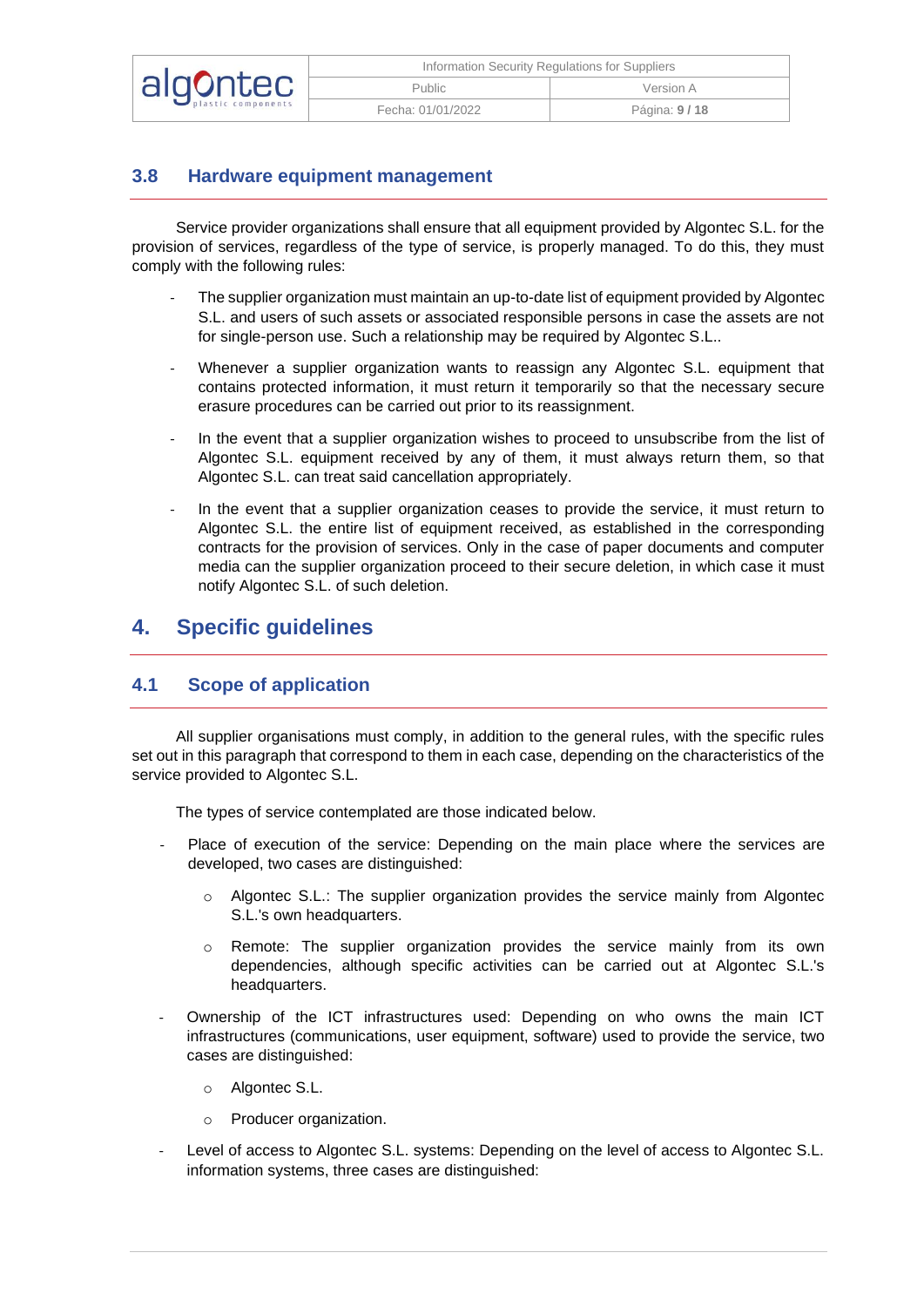|          | Information Security Regulations for Suppliers |              |
|----------|------------------------------------------------|--------------|
| algontec | Public                                         | Version A    |
|          | Fecha: 01/01/2022                              | Página: 9/18 |

## <span id="page-8-0"></span>**3.8 Hardware equipment management**

Service provider organizations shall ensure that all equipment provided by Algontec S.L. for the provision of services, regardless of the type of service, is properly managed. To do this, they must comply with the following rules:

- The supplier organization must maintain an up-to-date list of equipment provided by Algontec S.L. and users of such assets or associated responsible persons in case the assets are not for single-person use. Such a relationship may be required by Algontec S.L..
- Whenever a supplier organization wants to reassign any Algontec S.L. equipment that contains protected information, it must return it temporarily so that the necessary secure erasure procedures can be carried out prior to its reassignment.
- In the event that a supplier organization wishes to proceed to unsubscribe from the list of Algontec S.L. equipment received by any of them, it must always return them, so that Algontec S.L. can treat said cancellation appropriately.
- In the event that a supplier organization ceases to provide the service, it must return to Algontec S.L. the entire list of equipment received, as established in the corresponding contracts for the provision of services. Only in the case of paper documents and computer media can the supplier organization proceed to their secure deletion, in which case it must notify Algontec S.L. of such deletion.

## <span id="page-8-1"></span>**4. Specific guidelines**

#### <span id="page-8-2"></span>**4.1 Scope of application**

All supplier organisations must comply, in addition to the general rules, with the specific rules set out in this paragraph that correspond to them in each case, depending on the characteristics of the service provided to Algontec S.L.

The types of service contemplated are those indicated below.

- Place of execution of the service: Depending on the main place where the services are developed, two cases are distinguished:
	- $\circ$  Algontec S.L.: The supplier organization provides the service mainly from Algontec S.L.'s own headquarters.
	- o Remote: The supplier organization provides the service mainly from its own dependencies, although specific activities can be carried out at Algontec S.L.'s headquarters.
- Ownership of the ICT infrastructures used: Depending on who owns the main ICT infrastructures (communications, user equipment, software) used to provide the service, two cases are distinguished:
	- o Algontec S.L.
	- o Producer organization.
- Level of access to Algontec S.L. systems: Depending on the level of access to Algontec S.L. information systems, three cases are distinguished: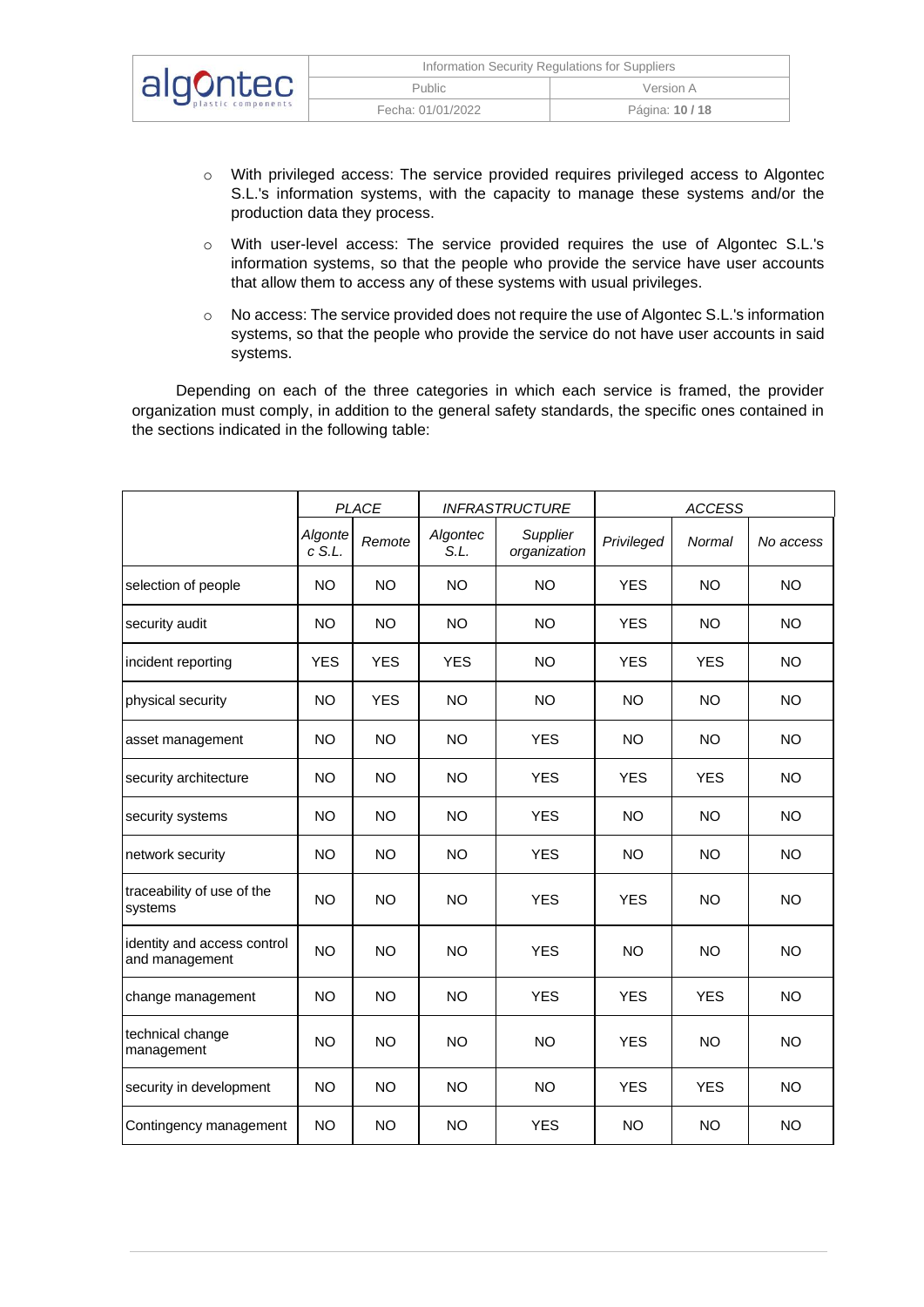|          | Information Security Regulations for Suppliers |               |
|----------|------------------------------------------------|---------------|
| algontec | Public                                         | Version A     |
|          | Fecha: 01/01/2022                              | Página: 10/18 |

- o With privileged access: The service provided requires privileged access to Algontec S.L.'s information systems, with the capacity to manage these systems and/or the production data they process.
- o With user-level access: The service provided requires the use of Algontec S.L.'s information systems, so that the people who provide the service have user accounts that allow them to access any of these systems with usual privileges.
- o No access: The service provided does not require the use of Algontec S.L.'s information systems, so that the people who provide the service do not have user accounts in said systems.

Depending on each of the three categories in which each service is framed, the provider organization must comply, in addition to the general safety standards, the specific ones contained in the sections indicated in the following table:

|                                               | <b>PLACE</b>        |            |                  | <b>INFRASTRUCTURE</b>    | <b>ACCESS</b> |               |           |
|-----------------------------------------------|---------------------|------------|------------------|--------------------------|---------------|---------------|-----------|
|                                               | Algonte<br>$c$ S.L. | Remote     | Algontec<br>S.L. | Supplier<br>organization | Privileged    | <b>Normal</b> | No access |
| selection of people                           | <b>NO</b>           | <b>NO</b>  | <b>NO</b>        | <b>NO</b>                | <b>YES</b>    | <b>NO</b>     | <b>NO</b> |
| security audit                                | <b>NO</b>           | <b>NO</b>  | <b>NO</b>        | <b>NO</b>                | <b>YES</b>    | <b>NO</b>     | <b>NO</b> |
| incident reporting                            | <b>YES</b>          | <b>YES</b> | <b>YES</b>       | <b>NO</b>                | <b>YES</b>    | <b>YES</b>    | <b>NO</b> |
| physical security                             | <b>NO</b>           | <b>YES</b> | <b>NO</b>        | <b>NO</b>                | <b>NO</b>     | <b>NO</b>     | <b>NO</b> |
| asset management                              | <b>NO</b>           | <b>NO</b>  | <b>NO</b>        | <b>YES</b>               | <b>NO</b>     | <b>NO</b>     | <b>NO</b> |
| security architecture                         | <b>NO</b>           | <b>NO</b>  | <b>NO</b>        | <b>YES</b>               | <b>YES</b>    | <b>YES</b>    | <b>NO</b> |
| security systems                              | NO.                 | <b>NO</b>  | <b>NO</b>        | <b>YES</b>               | NO.           | NO.           | NO.       |
| network security                              | <b>NO</b>           | <b>NO</b>  | <b>NO</b>        | <b>YES</b>               | <b>NO</b>     | <b>NO</b>     | <b>NO</b> |
| traceability of use of the<br>systems         | <b>NO</b>           | <b>NO</b>  | <b>NO</b>        | <b>YES</b>               | <b>YES</b>    | <b>NO</b>     | <b>NO</b> |
| identity and access control<br>and management | <b>NO</b>           | <b>NO</b>  | <b>NO</b>        | <b>YES</b>               | <b>NO</b>     | <b>NO</b>     | <b>NO</b> |
| change management                             | <b>NO</b>           | <b>NO</b>  | <b>NO</b>        | <b>YES</b>               | <b>YES</b>    | <b>YES</b>    | <b>NO</b> |
| technical change<br>management                | <b>NO</b>           | <b>NO</b>  | <b>NO</b>        | <b>NO</b>                | <b>YES</b>    | <b>NO</b>     | <b>NO</b> |
| security in development                       | <b>NO</b>           | <b>NO</b>  | <b>NO</b>        | <b>NO</b>                | <b>YES</b>    | <b>YES</b>    | <b>NO</b> |
| Contingency management                        | NO.                 | <b>NO</b>  | <b>NO</b>        | <b>YES</b>               | <b>NO</b>     | <b>NO</b>     | <b>NO</b> |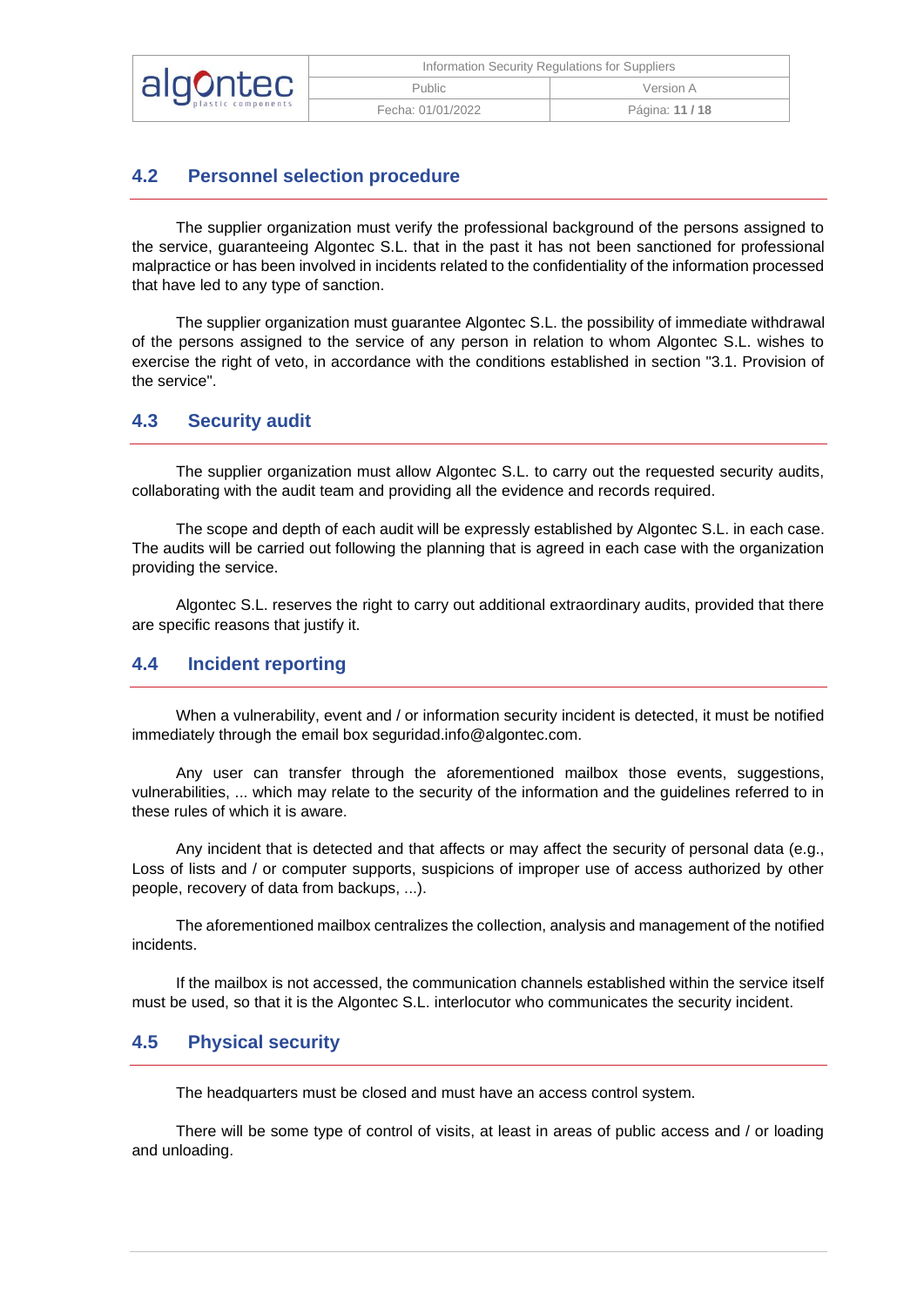| algontec | Information Security Regulations for Suppliers |               |  |
|----------|------------------------------------------------|---------------|--|
|          | Public                                         | Version A     |  |
|          | Fecha: 01/01/2022                              | Página: 11/18 |  |

## <span id="page-10-0"></span>**4.2 Personnel selection procedure**

The supplier organization must verify the professional background of the persons assigned to the service, guaranteeing Algontec S.L. that in the past it has not been sanctioned for professional malpractice or has been involved in incidents related to the confidentiality of the information processed that have led to any type of sanction.

The supplier organization must guarantee Algontec S.L. the possibility of immediate withdrawal of the persons assigned to the service of any person in relation to whom Algontec S.L. wishes to exercise the right of veto, in accordance with the conditions established in section "3.1. Provision of the service".

#### <span id="page-10-1"></span>**4.3 Security audit**

The supplier organization must allow Algontec S.L. to carry out the requested security audits, collaborating with the audit team and providing all the evidence and records required.

The scope and depth of each audit will be expressly established by Algontec S.L. in each case. The audits will be carried out following the planning that is agreed in each case with the organization providing the service.

Algontec S.L. reserves the right to carry out additional extraordinary audits, provided that there are specific reasons that justify it.

#### <span id="page-10-2"></span>**4.4 Incident reporting**

When a vulnerability, event and / or information security incident is detected, it must be notified immediately through the email box seguridad.info@algontec.com.

Any user can transfer through the aforementioned mailbox those events, suggestions, vulnerabilities, ... which may relate to the security of the information and the guidelines referred to in these rules of which it is aware.

Any incident that is detected and that affects or may affect the security of personal data (e.g., Loss of lists and / or computer supports, suspicions of improper use of access authorized by other people, recovery of data from backups, ...).

The aforementioned mailbox centralizes the collection, analysis and management of the notified incidents.

If the mailbox is not accessed, the communication channels established within the service itself must be used, so that it is the Algontec S.L. interlocutor who communicates the security incident.

#### <span id="page-10-3"></span>**4.5 Physical security**

The headquarters must be closed and must have an access control system.

There will be some type of control of visits, at least in areas of public access and / or loading and unloading.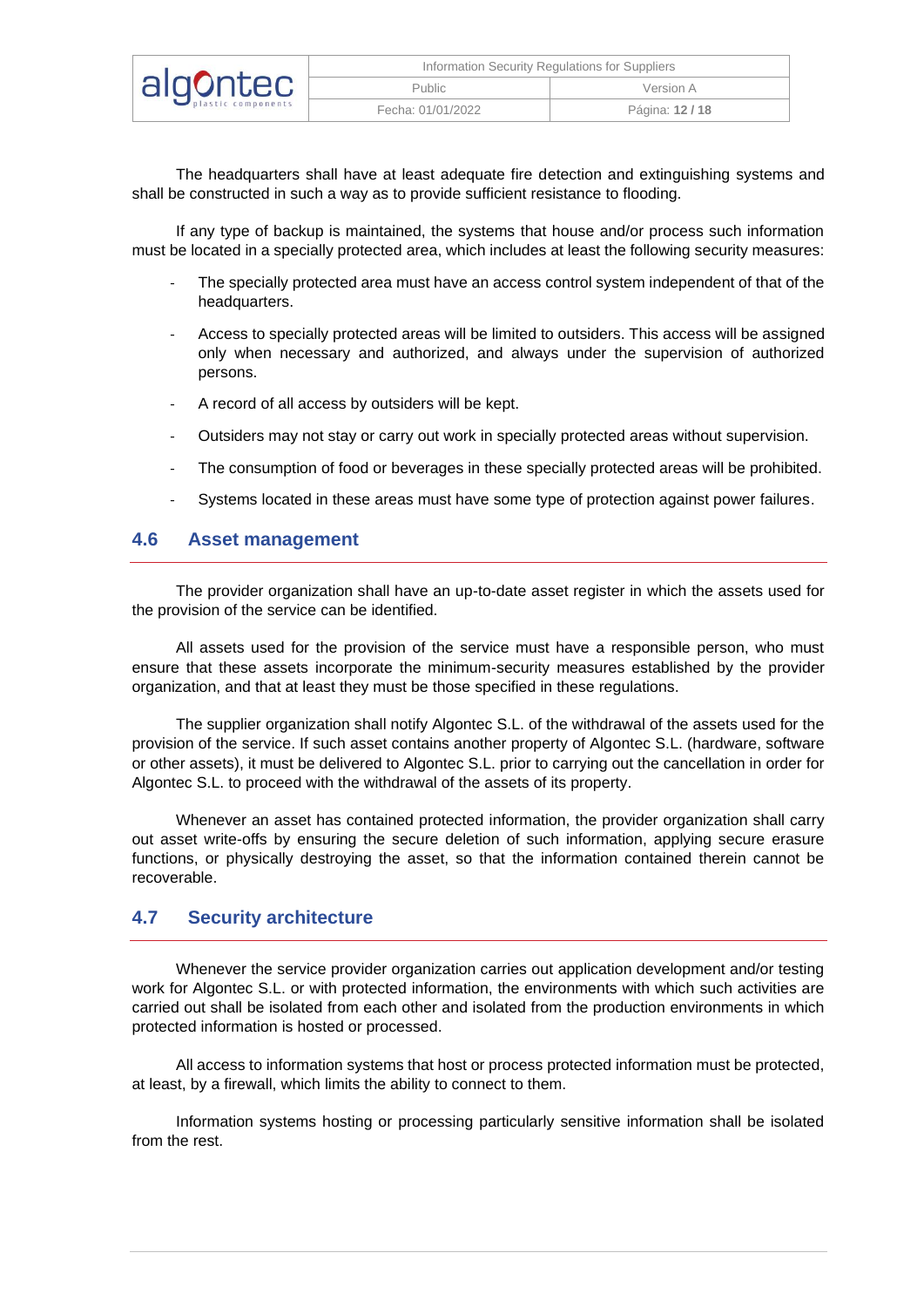| algontec | Information Security Regulations for Suppliers |               |  |
|----------|------------------------------------------------|---------------|--|
|          | <b>Public</b>                                  | Version A     |  |
|          | Fecha: 01/01/2022                              | Página: 12/18 |  |

The headquarters shall have at least adequate fire detection and extinguishing systems and shall be constructed in such a way as to provide sufficient resistance to flooding.

If any type of backup is maintained, the systems that house and/or process such information must be located in a specially protected area, which includes at least the following security measures:

- The specially protected area must have an access control system independent of that of the headquarters.
- Access to specially protected areas will be limited to outsiders. This access will be assigned only when necessary and authorized, and always under the supervision of authorized persons.
- A record of all access by outsiders will be kept.
- Outsiders may not stay or carry out work in specially protected areas without supervision.
- The consumption of food or beverages in these specially protected areas will be prohibited.
- Systems located in these areas must have some type of protection against power failures.

#### <span id="page-11-0"></span>**4.6 Asset management**

The provider organization shall have an up-to-date asset register in which the assets used for the provision of the service can be identified.

All assets used for the provision of the service must have a responsible person, who must ensure that these assets incorporate the minimum-security measures established by the provider organization, and that at least they must be those specified in these regulations.

The supplier organization shall notify Algontec S.L. of the withdrawal of the assets used for the provision of the service. If such asset contains another property of Algontec S.L. (hardware, software or other assets), it must be delivered to Algontec S.L. prior to carrying out the cancellation in order for Algontec S.L. to proceed with the withdrawal of the assets of its property.

Whenever an asset has contained protected information, the provider organization shall carry out asset write-offs by ensuring the secure deletion of such information, applying secure erasure functions, or physically destroying the asset, so that the information contained therein cannot be recoverable.

#### <span id="page-11-1"></span>**4.7 Security architecture**

Whenever the service provider organization carries out application development and/or testing work for Algontec S.L. or with protected information, the environments with which such activities are carried out shall be isolated from each other and isolated from the production environments in which protected information is hosted or processed.

All access to information systems that host or process protected information must be protected, at least, by a firewall, which limits the ability to connect to them.

Information systems hosting or processing particularly sensitive information shall be isolated from the rest.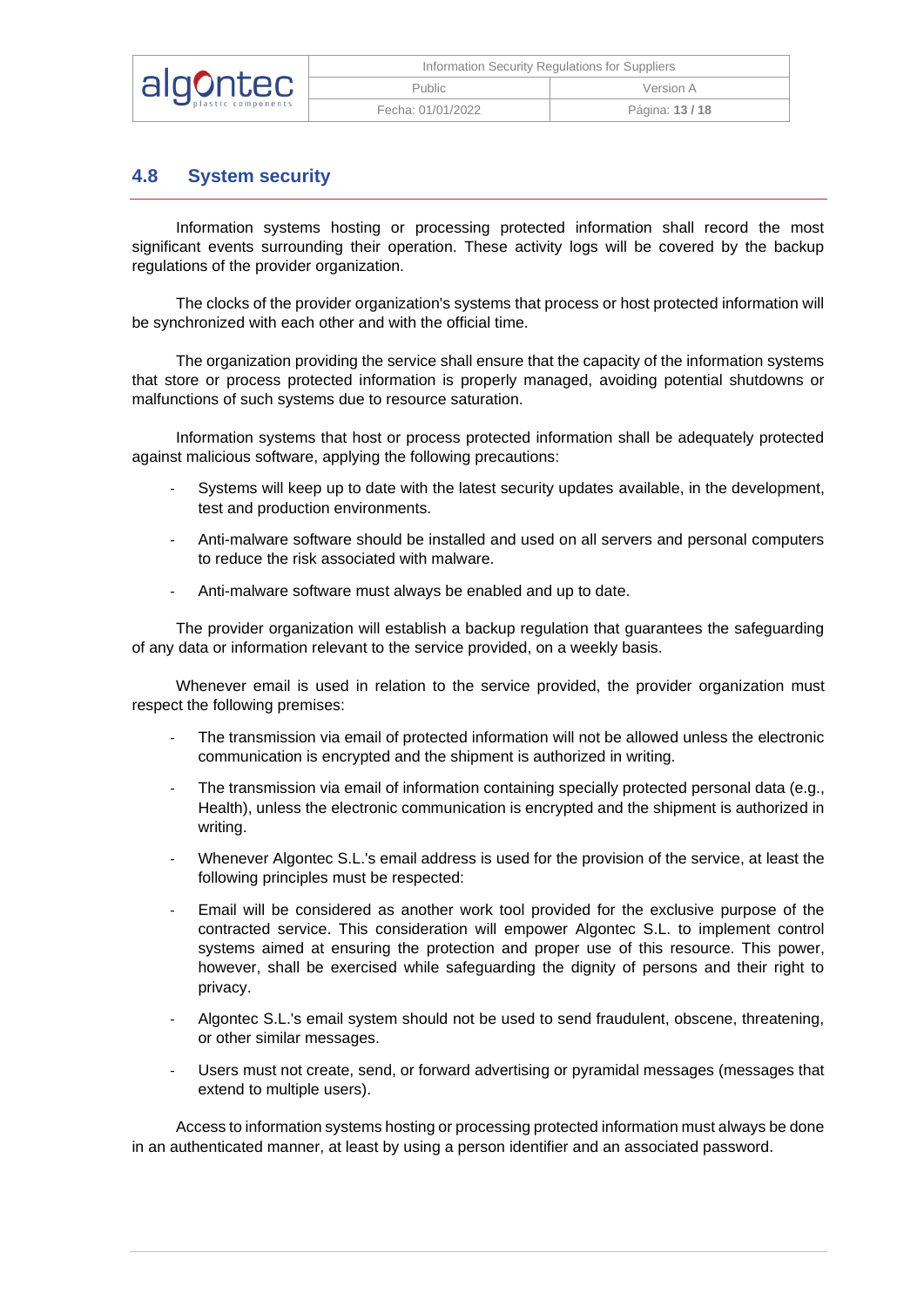| algontec | Information Security Regulations for Suppliers |                 |  |
|----------|------------------------------------------------|-----------------|--|
|          | <b>Public</b>                                  | Version A       |  |
|          | Fecha: 01/01/2022                              | Página: 13 / 18 |  |

#### <span id="page-12-0"></span>**4.8 System security**

Information systems hosting or processing protected information shall record the most significant events surrounding their operation. These activity logs will be covered by the backup regulations of the provider organization.

The clocks of the provider organization's systems that process or host protected information will be synchronized with each other and with the official time.

The organization providing the service shall ensure that the capacity of the information systems that store or process protected information is properly managed, avoiding potential shutdowns or malfunctions of such systems due to resource saturation.

Information systems that host or process protected information shall be adequately protected against malicious software, applying the following precautions:

- Systems will keep up to date with the latest security updates available, in the development, test and production environments.
- Anti-malware software should be installed and used on all servers and personal computers to reduce the risk associated with malware.
- Anti-malware software must always be enabled and up to date.

The provider organization will establish a backup regulation that guarantees the safeguarding of any data or information relevant to the service provided, on a weekly basis.

Whenever email is used in relation to the service provided, the provider organization must respect the following premises:

- The transmission via email of protected information will not be allowed unless the electronic communication is encrypted and the shipment is authorized in writing.
- The transmission via email of information containing specially protected personal data (e.g., Health), unless the electronic communication is encrypted and the shipment is authorized in writing.
- Whenever Algontec S.L.'s email address is used for the provision of the service, at least the following principles must be respected:
- Email will be considered as another work tool provided for the exclusive purpose of the contracted service. This consideration will empower Algontec S.L. to implement control systems aimed at ensuring the protection and proper use of this resource. This power, however, shall be exercised while safeguarding the dignity of persons and their right to privacy.
- Algontec S.L.'s email system should not be used to send fraudulent, obscene, threatening, or other similar messages.
- Users must not create, send, or forward advertising or pyramidal messages (messages that extend to multiple users).

Access to information systems hosting or processing protected information must always be done in an authenticated manner, at least by using a person identifier and an associated password.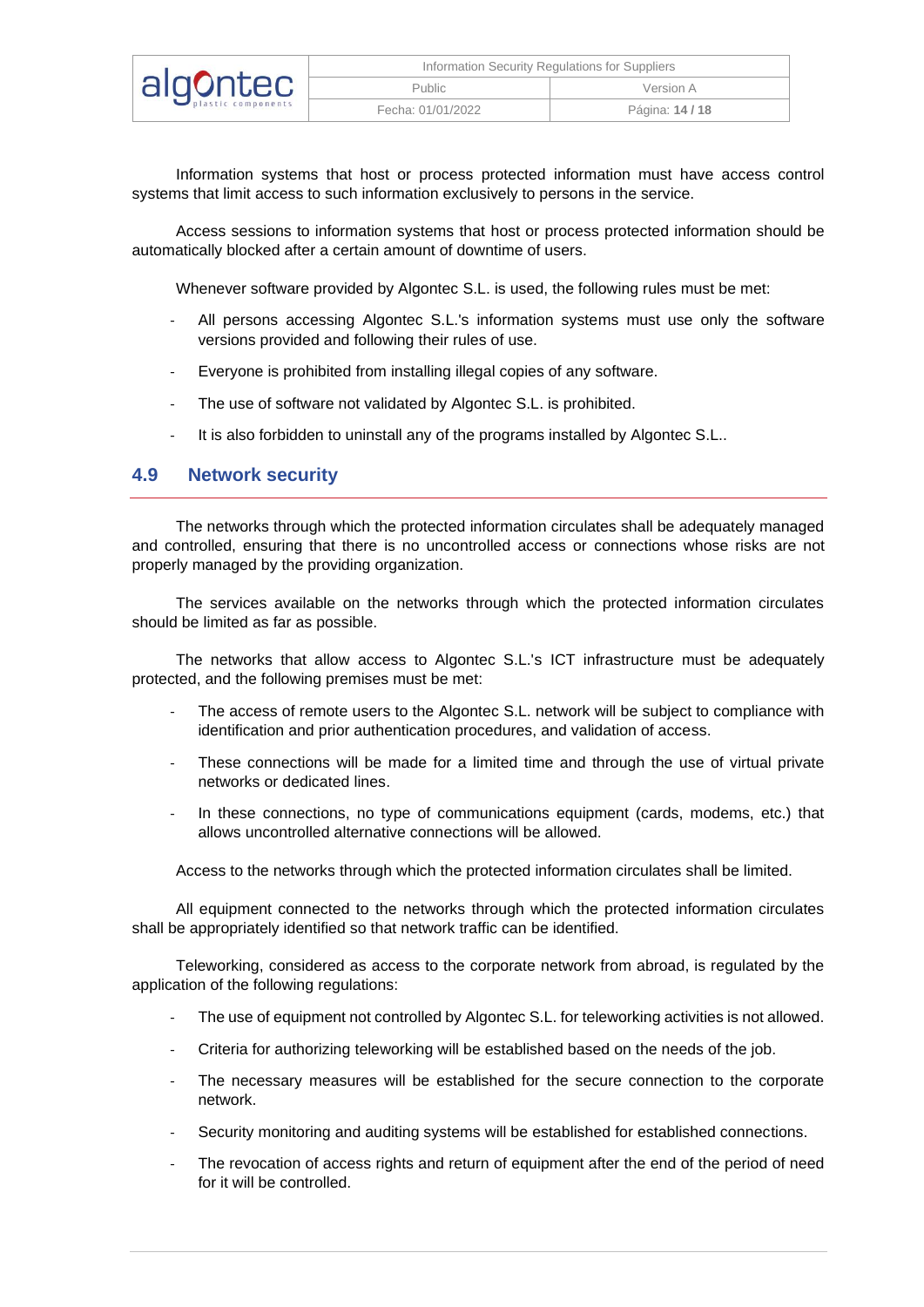| algontec | Information Security Regulations for Suppliers |                 |  |
|----------|------------------------------------------------|-----------------|--|
|          | <b>Public</b>                                  | Version A       |  |
|          | Fecha: 01/01/2022                              | Página: 14 / 18 |  |

Information systems that host or process protected information must have access control systems that limit access to such information exclusively to persons in the service.

Access sessions to information systems that host or process protected information should be automatically blocked after a certain amount of downtime of users.

Whenever software provided by Algontec S.L. is used, the following rules must be met:

- All persons accessing Algontec S.L.'s information systems must use only the software versions provided and following their rules of use.
- Everyone is prohibited from installing illegal copies of any software.
- The use of software not validated by Algontec S.L. is prohibited.
- It is also forbidden to uninstall any of the programs installed by Algontec S.L..

#### <span id="page-13-0"></span>**4.9 Network security**

The networks through which the protected information circulates shall be adequately managed and controlled, ensuring that there is no uncontrolled access or connections whose risks are not properly managed by the providing organization.

The services available on the networks through which the protected information circulates should be limited as far as possible.

The networks that allow access to Algontec S.L.'s ICT infrastructure must be adequately protected, and the following premises must be met:

- The access of remote users to the Algontec S.L. network will be subject to compliance with identification and prior authentication procedures, and validation of access.
- These connections will be made for a limited time and through the use of virtual private networks or dedicated lines.
- In these connections, no type of communications equipment (cards, modems, etc.) that allows uncontrolled alternative connections will be allowed.

Access to the networks through which the protected information circulates shall be limited.

All equipment connected to the networks through which the protected information circulates shall be appropriately identified so that network traffic can be identified.

Teleworking, considered as access to the corporate network from abroad, is regulated by the application of the following regulations:

- The use of equipment not controlled by Algontec S.L. for teleworking activities is not allowed.
- Criteria for authorizing teleworking will be established based on the needs of the job.
- The necessary measures will be established for the secure connection to the corporate network.
- Security monitoring and auditing systems will be established for established connections.
- The revocation of access rights and return of equipment after the end of the period of need for it will be controlled.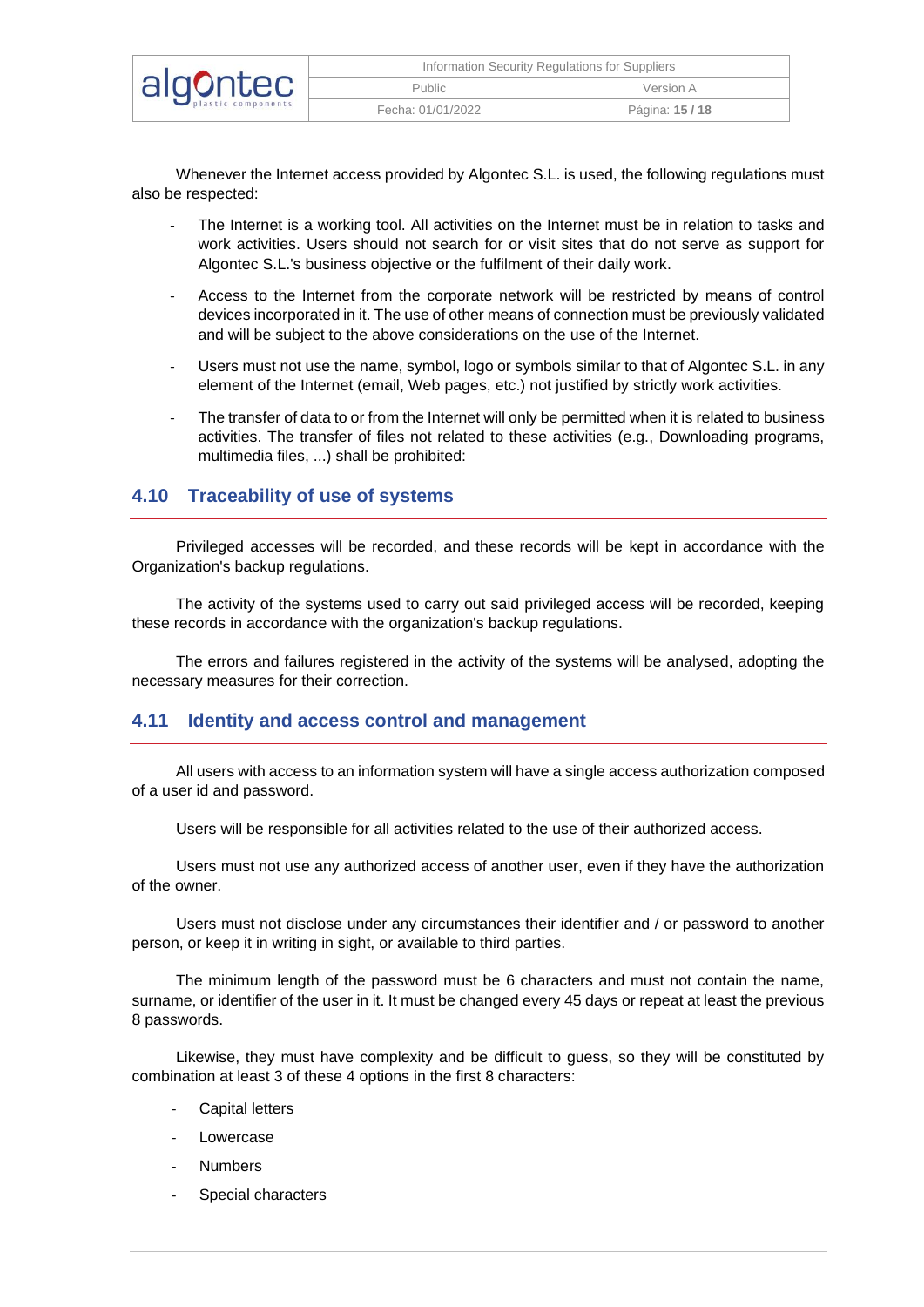| algontec | Information Security Regulations for Suppliers |               |  |
|----------|------------------------------------------------|---------------|--|
|          | Public                                         | Version A     |  |
|          | Fecha: 01/01/2022                              | Página: 15/18 |  |

Whenever the Internet access provided by Algontec S.L. is used, the following regulations must also be respected:

- The Internet is a working tool. All activities on the Internet must be in relation to tasks and work activities. Users should not search for or visit sites that do not serve as support for Algontec S.L.'s business objective or the fulfilment of their daily work.
- Access to the Internet from the corporate network will be restricted by means of control devices incorporated in it. The use of other means of connection must be previously validated and will be subject to the above considerations on the use of the Internet.
- Users must not use the name, symbol, logo or symbols similar to that of Algontec S.L. in any element of the Internet (email, Web pages, etc.) not justified by strictly work activities.
- The transfer of data to or from the Internet will only be permitted when it is related to business activities. The transfer of files not related to these activities (e.g., Downloading programs, multimedia files, ...) shall be prohibited:

#### <span id="page-14-0"></span>**4.10 Traceability of use of systems**

Privileged accesses will be recorded, and these records will be kept in accordance with the Organization's backup regulations.

The activity of the systems used to carry out said privileged access will be recorded, keeping these records in accordance with the organization's backup regulations.

The errors and failures registered in the activity of the systems will be analysed, adopting the necessary measures for their correction.

#### <span id="page-14-1"></span>**4.11 Identity and access control and management**

All users with access to an information system will have a single access authorization composed of a user id and password.

Users will be responsible for all activities related to the use of their authorized access.

Users must not use any authorized access of another user, even if they have the authorization of the owner.

Users must not disclose under any circumstances their identifier and / or password to another person, or keep it in writing in sight, or available to third parties.

The minimum length of the password must be 6 characters and must not contain the name, surname, or identifier of the user in it. It must be changed every 45 days or repeat at least the previous 8 passwords.

Likewise, they must have complexity and be difficult to guess, so they will be constituted by combination at least 3 of these 4 options in the first 8 characters:

- Capital letters
- **Lowercase**
- **Numbers**
- Special characters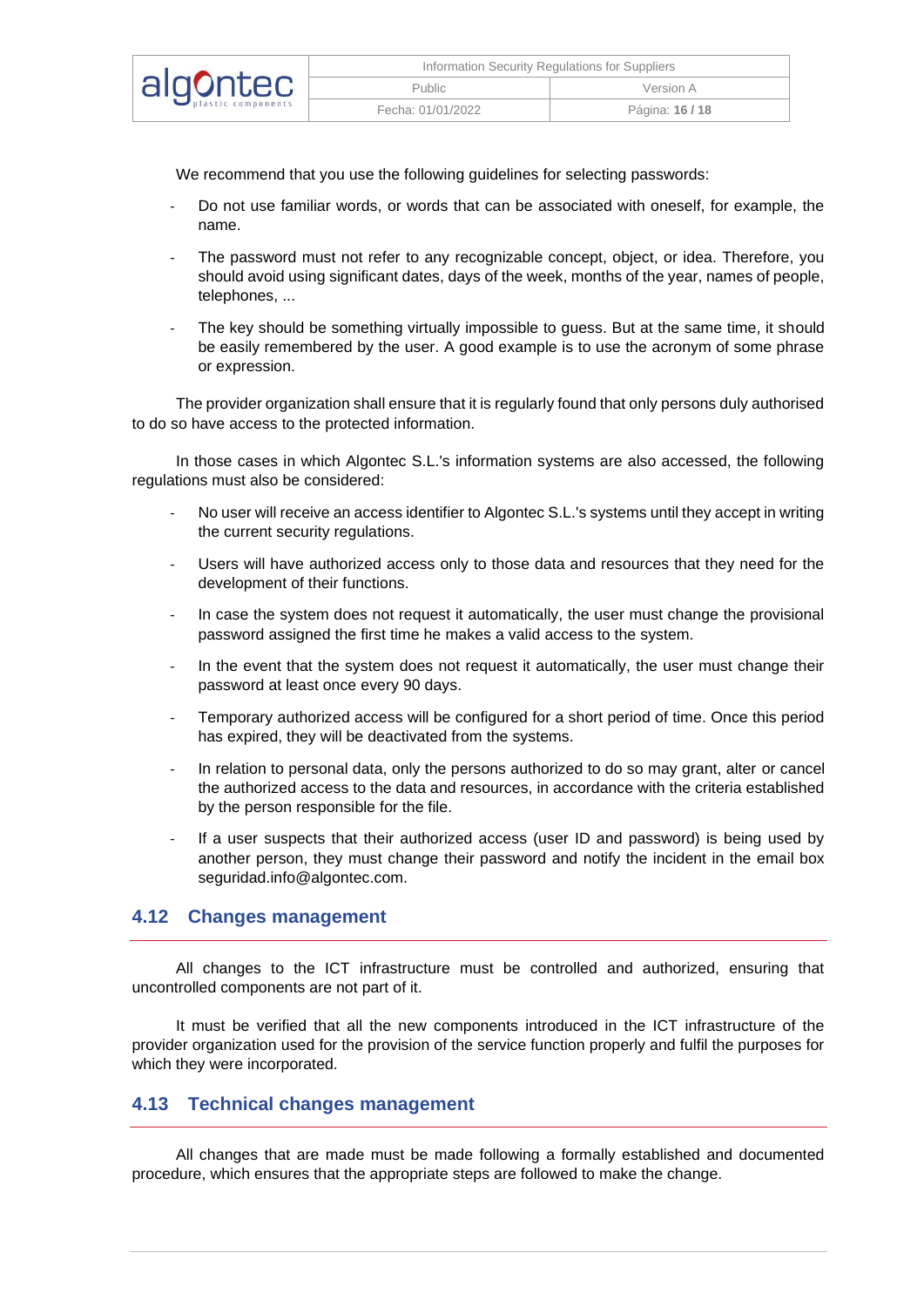| algontec | Information Security Regulations for Suppliers |               |  |
|----------|------------------------------------------------|---------------|--|
|          | <b>Public</b>                                  | Version A     |  |
|          | Fecha: 01/01/2022                              | Página: 16/18 |  |

We recommend that you use the following guidelines for selecting passwords:

- Do not use familiar words, or words that can be associated with oneself, for example, the name.
- The password must not refer to any recognizable concept, object, or idea. Therefore, you should avoid using significant dates, days of the week, months of the year, names of people, telephones, ...
- The key should be something virtually impossible to guess. But at the same time, it should be easily remembered by the user. A good example is to use the acronym of some phrase or expression.

The provider organization shall ensure that it is regularly found that only persons duly authorised to do so have access to the protected information.

In those cases in which Algontec S.L.'s information systems are also accessed, the following regulations must also be considered:

- No user will receive an access identifier to Algontec S.L.'s systems until they accept in writing the current security regulations.
- Users will have authorized access only to those data and resources that they need for the development of their functions.
- In case the system does not request it automatically, the user must change the provisional password assigned the first time he makes a valid access to the system.
- In the event that the system does not request it automatically, the user must change their password at least once every 90 days.
- Temporary authorized access will be configured for a short period of time. Once this period has expired, they will be deactivated from the systems.
- In relation to personal data, only the persons authorized to do so may grant, alter or cancel the authorized access to the data and resources, in accordance with the criteria established by the person responsible for the file.
- If a user suspects that their authorized access (user ID and password) is being used by another person, they must change their password and notify the incident in the email box seguridad.info@algontec.com.

#### <span id="page-15-0"></span>**4.12 Changes management**

All changes to the ICT infrastructure must be controlled and authorized, ensuring that uncontrolled components are not part of it.

It must be verified that all the new components introduced in the ICT infrastructure of the provider organization used for the provision of the service function properly and fulfil the purposes for which they were incorporated.

#### <span id="page-15-1"></span>**4.13 Technical changes management**

All changes that are made must be made following a formally established and documented procedure, which ensures that the appropriate steps are followed to make the change.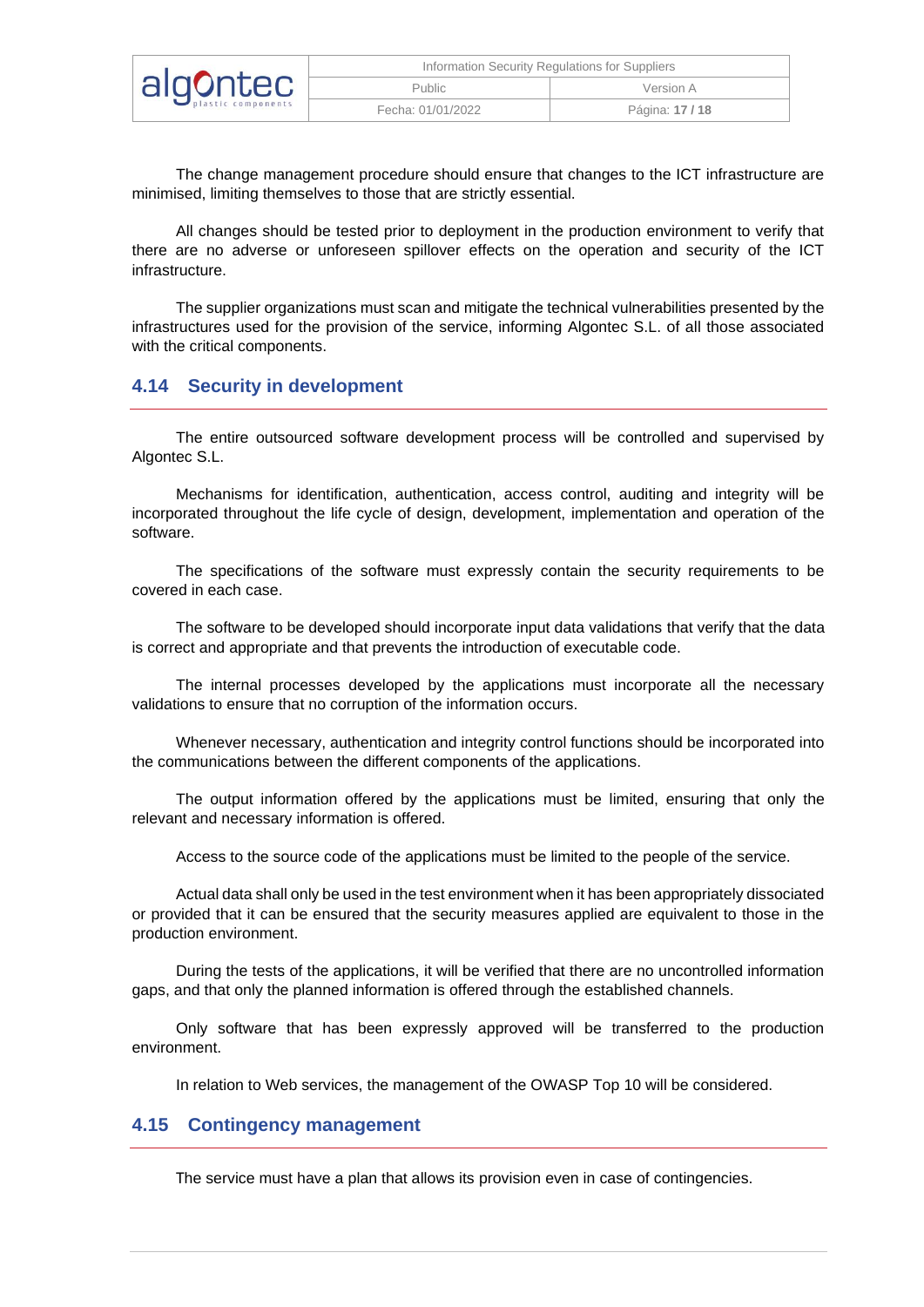| algontec | Information Security Regulations for Suppliers |               |  |
|----------|------------------------------------------------|---------------|--|
|          | Public                                         | Version A     |  |
|          | Fecha: 01/01/2022                              | Página: 17/18 |  |

The change management procedure should ensure that changes to the ICT infrastructure are minimised, limiting themselves to those that are strictly essential.

All changes should be tested prior to deployment in the production environment to verify that there are no adverse or unforeseen spillover effects on the operation and security of the ICT infrastructure.

The supplier organizations must scan and mitigate the technical vulnerabilities presented by the infrastructures used for the provision of the service, informing Algontec S.L. of all those associated with the critical components.

#### <span id="page-16-0"></span>**4.14 Security in development**

The entire outsourced software development process will be controlled and supervised by Algontec S.L.

Mechanisms for identification, authentication, access control, auditing and integrity will be incorporated throughout the life cycle of design, development, implementation and operation of the software.

The specifications of the software must expressly contain the security requirements to be covered in each case.

The software to be developed should incorporate input data validations that verify that the data is correct and appropriate and that prevents the introduction of executable code.

The internal processes developed by the applications must incorporate all the necessary validations to ensure that no corruption of the information occurs.

Whenever necessary, authentication and integrity control functions should be incorporated into the communications between the different components of the applications.

The output information offered by the applications must be limited, ensuring that only the relevant and necessary information is offered.

Access to the source code of the applications must be limited to the people of the service.

Actual data shall only be used in the test environment when it has been appropriately dissociated or provided that it can be ensured that the security measures applied are equivalent to those in the production environment.

During the tests of the applications, it will be verified that there are no uncontrolled information gaps, and that only the planned information is offered through the established channels.

Only software that has been expressly approved will be transferred to the production environment.

In relation to Web services, the management of the OWASP Top 10 will be considered.

#### <span id="page-16-1"></span>**4.15 Contingency management**

The service must have a plan that allows its provision even in case of contingencies.